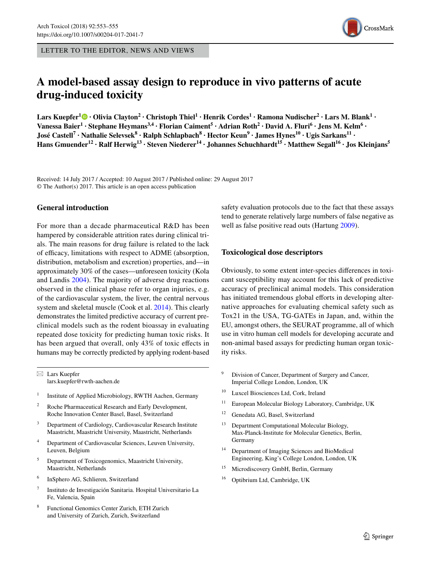LETTER TO THE EDITOR, NEWS AND VIEWS

# **A model‑based assay design to reproduce in vivo patterns of acute drug‑induced toxicity**

 $\Delta$ Lars Kuepfer $^1$ ® • Olivia Clayton $^2$  • Christoph Thiel $^1$  • Henrik Cordes $^1$  • Ramona Nudischer $^2$  • Lars M. Blank $^1$  • Vanessa Baier<sup>1</sup> • Stephane Heymans<sup>3,4</sup> • Florian Caiment<sup>5</sup> • Adrian Roth<sup>2</sup> • David A. Fluri<sup>6</sup> • Jens M. Kelm<sup>6</sup> •  $\rm{Jos\'e~Castell}^7\cdot \rm{Nathalie~Selevsek}^8\cdot \rm{Ralph~Schlapbach}^8\cdot \rm{Hector~Keun}^9\cdot \rm{James~Hynes}^{10}\cdot \rm{Ugis~Sarkans}^{11}\cdot \rm{V}^8$ Hans Gmuender<sup>12</sup> · Ralf Herwig<sup>13</sup> · Steven Niederer<sup>14</sup> · Johannes Schuchhardt<sup>15</sup> · Matthew Segall<sup>16</sup> · Jos Kleinjans<sup>5</sup>

Received: 14 July 2017 / Accepted: 10 August 2017 / Published online: 29 August 2017 © The Author(s) 2017. This article is an open access publication

## **General introduction**

For more than a decade pharmaceutical R&D has been hampered by considerable attrition rates during clinical trials. The main reasons for drug failure is related to the lack of efficacy, limitations with respect to ADME (absorption, distribution, metabolism and excretion) properties, and—in approximately 30% of the cases—unforeseen toxicity (Kola and Landis [2004\)](#page-2-1). The majority of adverse drug reactions observed in the clinical phase refer to organ injuries, e.g. of the cardiovascular system, the liver, the central nervous system and skeletal muscle (Cook et al. [2014\)](#page-2-2). This clearly demonstrates the limited predictive accuracy of current preclinical models such as the rodent bioassay in evaluating repeated dose toxicity for predicting human toxic risks. It has been argued that overall, only 43% of toxic efects in humans may be correctly predicted by applying rodent-based

 $\boxtimes$  Lars Kuepfer lars.kuepfer@rwth-aachen.de

- <sup>1</sup> Institute of Applied Microbiology, RWTH Aachen, Germany
- <sup>2</sup> Roche Pharmaceutical Research and Early Development, Roche Innovation Center Basel, Basel, Switzerland
- <sup>3</sup> Department of Cardiology, Cardiovascular Research Institute Maastricht, Maastricht University, Maastricht, Netherlands
- <sup>4</sup> Department of Cardiovascular Sciences, Leuven University, Leuven, Belgium
- <sup>5</sup> Department of Toxicogenomics, Maastricht University, Maastricht, Netherlands
- <sup>6</sup> InSphero AG, Schlieren, Switzerland
- <sup>7</sup> Instituto de Investigación Sanitaria. Hospital Universitario La Fe, Valencia, Spain
- <sup>8</sup> Functional Genomics Center Zurich, ETH Zurich and University of Zurich, Zurich, Switzerland

safety evaluation protocols due to the fact that these assays tend to generate relatively large numbers of false negative as well as false positive read outs (Hartung [2009\)](#page-2-0).

# **Toxicological dose descriptors**

Obviously, to some extent inter-species diferences in toxicant susceptibility may account for this lack of predictive accuracy of preclinical animal models. This consideration has initiated tremendous global efforts in developing alternative approaches for evaluating chemical safety such as Tox21 in the USA, TG-GATEs in Japan, and, within the EU, amongst others, the SEURAT programme, all of which use in vitro human cell models for developing accurate and non-animal based assays for predicting human organ toxicity risks.

- <sup>9</sup> Division of Cancer, Department of Surgery and Cancer, Imperial College London, London, UK
- <sup>10</sup> Luxcel Biosciences Ltd, Cork, Ireland
- <sup>11</sup> European Molecular Biology Laboratory, Cambridge, UK
- <sup>12</sup> Genedata AG, Basel, Switzerland
- <sup>13</sup> Department Computational Molecular Biology, Max-Planck-Institute for Molecular Genetics, Berlin, Germany
- <sup>14</sup> Department of Imaging Sciences and BioMedical Engineering, King's College London, London, UK
- <sup>15</sup> Microdiscovery GmbH, Berlin, Germany
- <sup>16</sup> Optibrium Ltd, Cambridge, UK

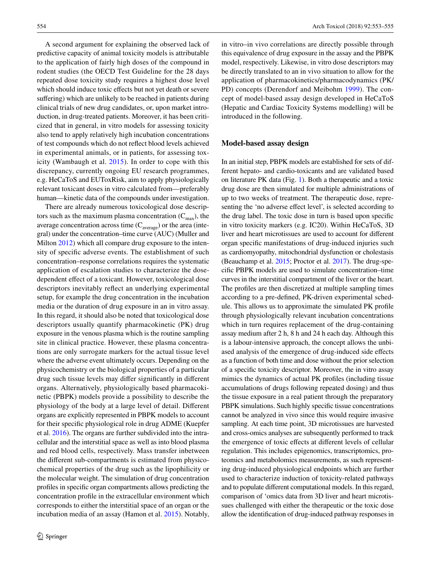A second argument for explaining the observed lack of predictive capacity of animal toxicity models is attributable to the application of fairly high doses of the compound in rodent studies (the OECD Test Guideline for the 28 days repeated dose toxicity study requires a highest dose level which should induce toxic effects but not yet death or severe suffering) which are unlikely to be reached in patients during clinical trials of new drug candidates, or, upon market introduction, in drug-treated patients. Moreover, it has been criticized that in general, in vitro models for assessing toxicity also tend to apply relatively high incubation concentrations of test compounds which do not refect blood levels achieved in experimental animals, or in patients, for assessing toxicity (Wambaugh et al. [2015\)](#page-2-3). In order to cope with this discrepancy, currently ongoing EU research programmes, e.g. HeCaToS and EUToxRisk, aim to apply physiologically relevant toxicant doses in vitro calculated from—preferably human—kinetic data of the compounds under investigation.

There are already numerous toxicological dose descriptors such as the maximum plasma concentration  $(C_{\text{max}})$ , the average concentration across time  $(C_{\text{average}})$  or the area (integral) under the concentration–time curve (AUC) (Muller and Milton [2012\)](#page-2-4) which all compare drug exposure to the intensity of specifc adverse events. The establishment of such concentration–response correlations requires the systematic application of escalation studies to characterize the dosedependent efect of a toxicant. However, toxicological dose descriptors inevitably refect an underlying experimental setup, for example the drug concentration in the incubation media or the duration of drug exposure in an in vitro assay. In this regard, it should also be noted that toxicological dose descriptors usually quantify pharmacokinetic (PK) drug exposure in the venous plasma which is the routine sampling site in clinical practice. However, these plasma concentrations are only surrogate markers for the actual tissue level where the adverse event ultimately occurs. Depending on the physicochemistry or the biological properties of a particular drug such tissue levels may difer signifcantly in diferent organs. Alternatively, physiologically based pharmacokinetic (PBPK) models provide a possibility to describe the physiology of the body at a large level of detail. Diferent organs are explicitly represented in PBPK models to account for their specifc physiological role in drug ADME (Kuepfer et al. [2016](#page-2-5)). The organs are further subdivided into the intracellular and the interstitial space as well as into blood plasma and red blood cells, respectively. Mass transfer inbetween the diferent sub-compartments is estimated from physicochemical properties of the drug such as the lipophilicity or the molecular weight. The simulation of drug concentration profles in specifc organ compartments allows predicting the concentration profle in the extracellular environment which corresponds to either the interstitial space of an organ or the incubation media of an assay (Hamon et al. [2015\)](#page-2-6). Notably,

in vitro–in vivo correlations are directly possible through this equivalence of drug exposure in the assay and the PBPK model, respectively. Likewise, in vitro dose descriptors may be directly translated to an in vivo situation to allow for the application of pharmacokinetics/pharmacodynamics (PK/ PD) concepts (Derendorf and Meibohm [1999](#page-2-7)). The concept of model-based assay design developed in HeCaToS (Hepatic and Cardiac Toxicity Systems modelling) will be introduced in the following.

#### **Model‑based assay design**

In an initial step, PBPK models are established for sets of different hepato- and cardio-toxicants and are validated based on literature PK data (Fig. [1](#page-2-8)). Both a therapeutic and a toxic drug dose are then simulated for multiple administrations of up to two weeks of treatment. The therapeutic dose, representing the 'no adverse effect level', is selected according to the drug label. The toxic dose in turn is based upon specifc in vitro toxicity markers (e.g. IC20). Within HeCaToS, 3D liver and heart microtissues are used to account for diferent organ specifc manifestations of drug-induced injuries such as cardiomyopathy, mitochondrial dysfunction or cholestasis (Beauchamp et al. [2015;](#page-2-9) Proctor et al. [2017\)](#page-2-10). The drug-specifc PBPK models are used to simulate concentration–time curves in the interstitial compartment of the liver or the heart. The profles are then discretized at multiple sampling times according to a pre-defned, PK-driven experimental schedule. This allows us to approximate the simulated PK profle through physiologically relevant incubation concentrations which in turn requires replacement of the drug-containing assay medium after 2 h, 8 h and 24 h each day. Although this is a labour-intensive approach, the concept allows the unbiased analysis of the emergence of drug-induced side efects as a function of both time and dose without the prior selection of a specifc toxicity descriptor. Moreover, the in vitro assay mimics the dynamics of actual PK profles (including tissue accumulations of drugs following repeated dosing) and thus the tissue exposure in a real patient through the preparatory PBPK simulations. Such highly specific tissue concentrations cannot be analyzed in vivo since this would require invasive sampling. At each time point, 3D microtissues are harvested and cross-omics analyses are subsequently performed to track the emergence of toxic efects at diferent levels of cellular regulation. This includes epigenomics, transcriptomics, proteomics and metabolomics measurements, as such representing drug-induced physiological endpoints which are further used to characterize induction of toxicity-related pathways and to populate diferent computational models. In this regard, comparison of 'omics data from 3D liver and heart microtissues challenged with either the therapeutic or the toxic dose allow the identifcation of drug-induced pathway responses in